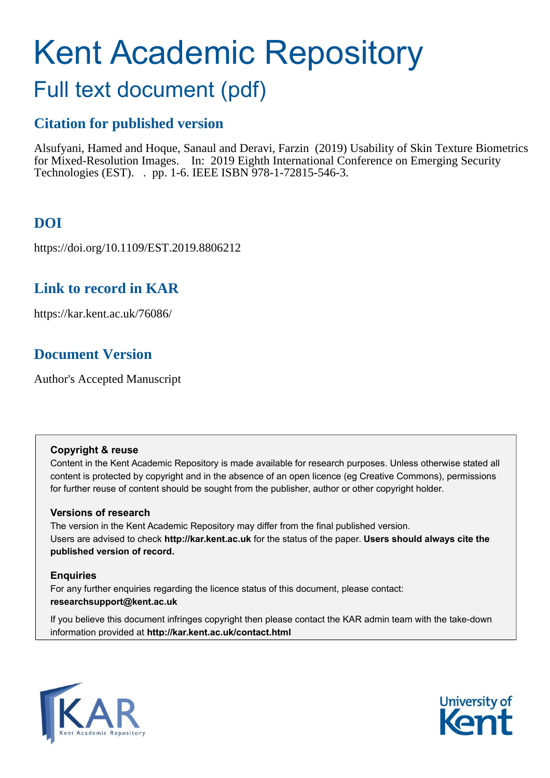# Kent Academic Repository

# Full text document (pdf)

## **Citation for published version**

Alsufyani, Hamed and Hoque, Sanaul and Deravi, Farzin (2019) Usability of Skin Texture Biometrics for Mixed-Resolution Images. In: 2019 Eighth International Conference on Emerging Security Technologies (EST). . pp. 1-6. IEEE ISBN 978-1-72815-546-3.

# **DOI**

https://doi.org/10.1109/EST.2019.8806212

### **Link to record in KAR**

https://kar.kent.ac.uk/76086/

## **Document Version**

Author's Accepted Manuscript

#### **Copyright & reuse**

Content in the Kent Academic Repository is made available for research purposes. Unless otherwise stated all content is protected by copyright and in the absence of an open licence (eg Creative Commons), permissions for further reuse of content should be sought from the publisher, author or other copyright holder.

#### **Versions of research**

The version in the Kent Academic Repository may differ from the final published version. Users are advised to check **http://kar.kent.ac.uk** for the status of the paper. **Users should always cite the published version of record.**

#### **Enquiries**

For any further enquiries regarding the licence status of this document, please contact: **researchsupport@kent.ac.uk**

If you believe this document infringes copyright then please contact the KAR admin team with the take-down information provided at **http://kar.kent.ac.uk/contact.html**



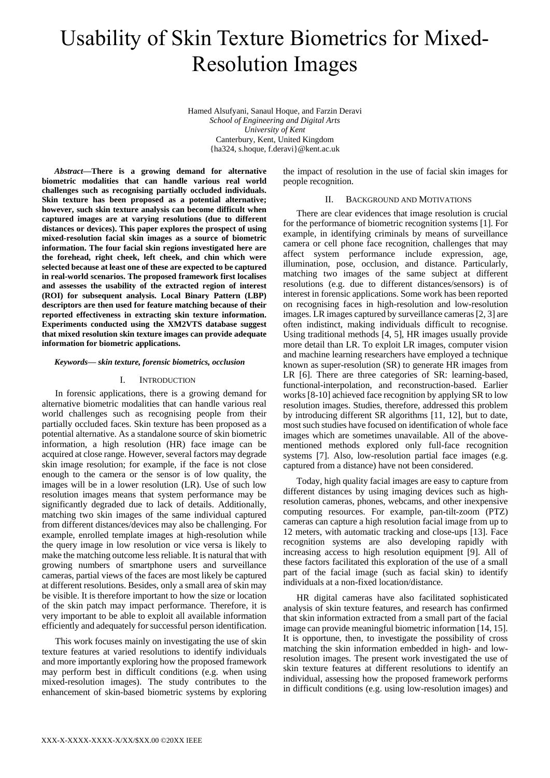# Usability of Skin Texture Biometrics for Mixed-Resolution Images

Hamed Alsufyani, Sanaul Hoque, and Farzin Deravi *School of Engineering and Digital Arts University of Kent* Canterbury, Kent, United Kingdom {ha324, s.hoque, f.deravi}@kent.ac.uk

*Abstract***—There is a growing demand for alternative biometric modalities that can handle various real world challenges such as recognising partially occluded individuals. Skin texture has been proposed as a potential alternative; however, such skin texture analysis can become difficult when captured images are at varying resolutions (due to different distances or devices). This paper explores the prospect of using mixed-resolution facial skin images as a source of biometric information. The four facial skin regions investigated here are the forehead, right cheek, left cheek, and chin which were selected because at least one of these are expected to be captured in real-world scenarios. The proposed framework first localises and assesses the usability of the extracted region of interest (ROI) for subsequent analysis. Local Binary Pattern (LBP) descriptors are then used for feature matching because of their reported effectiveness in extracting skin texture information. Experiments conducted using the XM2VTS database suggest that mixed resolution skin texture images can provide adequate information for biometric applications.**

#### *Keywords— skin texture, forensic biometrics, occlusion*

#### I. INTRODUCTION

In forensic applications, there is a growing demand for alternative biometric modalities that can handle various real world challenges such as recognising people from their partially occluded faces. Skin texture has been proposed as a potential alternative. As a standalone source of skin biometric information, a high resolution (HR) face image can be acquired at close range. However, several factors may degrade skin image resolution; for example, if the face is not close enough to the camera or the sensor is of low quality, the images will be in a lower resolution (LR). Use of such low resolution images means that system performance may be significantly degraded due to lack of details. Additionally, matching two skin images of the same individual captured from different distances/devices may also be challenging. For example, enrolled template images at high-resolution while the query image in low resolution or vice versa is likely to make the matching outcome less reliable. It is natural that with growing numbers of smartphone users and surveillance cameras, partial views of the faces are most likely be captured at different resolutions. Besides, only a small area of skin may be visible. It is therefore important to how the size or location of the skin patch may impact performance. Therefore, it is very important to be able to exploit all available information efficiently and adequately for successful person identification.

This work focuses mainly on investigating the use of skin texture features at varied resolutions to identify individuals and more importantly exploring how the proposed framework may perform best in difficult conditions (e.g. when using mixed-resolution images). The study contributes to the enhancement of skin-based biometric systems by exploring the impact of resolution in the use of facial skin images for people recognition.

#### II. BACKGROUND AND MOTIVATIONS

There are clear evidences that image resolution is crucial for the performance of biometric recognition systems [1]. For example, in identifying criminals by means of surveillance camera or cell phone face recognition, challenges that may affect system performance include expression, age, illumination, pose, occlusion, and distance. Particularly, matching two images of the same subject at different resolutions (e.g. due to different distances/sensors) is of interest in forensic applications. Some work has been reported on recognising faces in high-resolution and low-resolution images. LR images captured by surveillance cameras [2, 3] are often indistinct, making individuals difficult to recognise. Using traditional methods [4, 5], HR images usually provide more detail than LR. To exploit LR images, computer vision and machine learning researchers have employed a technique known as super-resolution (SR) to generate HR images from LR [6]. There are three categories of SR: learning-based, functional-interpolation, and reconstruction-based. Earlier works [8-10] achieved face recognition by applying SR to low resolution images. Studies, therefore, addressed this problem by introducing different SR algorithms [11, 12], but to date, most such studies have focused on identification of whole face images which are sometimes unavailable. All of the abovementioned methods explored only full-face recognition systems [7]. Also, low-resolution partial face images (e.g. captured from a distance) have not been considered.

Today, high quality facial images are easy to capture from different distances by using imaging devices such as highresolution cameras, phones, webcams, and other inexpensive computing resources. For example, pan-tilt-zoom (PTZ) cameras can capture a high resolution facial image from up to 12 meters, with automatic tracking and close-ups [13]. Face recognition systems are also developing rapidly with increasing access to high resolution equipment [9]. All of these factors facilitated this exploration of the use of a small part of the facial image (such as facial skin) to identify individuals at a non-fixed location/distance.

HR digital cameras have also facilitated sophisticated analysis of skin texture features, and research has confirmed that skin information extracted from a small part of the facial image can provide meaningful biometric information [14, 15]. It is opportune, then, to investigate the possibility of cross matching the skin information embedded in high- and lowresolution images. The present work investigated the use of skin texture features at different resolutions to identify an individual, assessing how the proposed framework performs in difficult conditions (e.g. using low-resolution images) and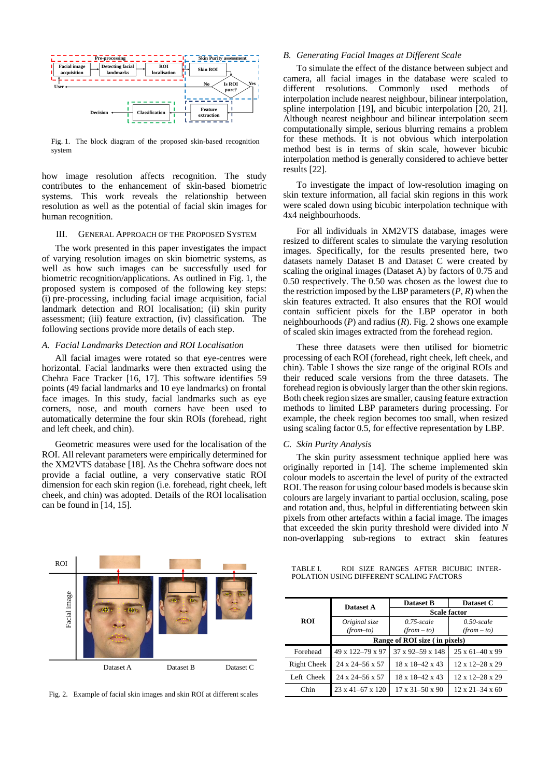

Fig. 1. The block diagram of the proposed skin-based recognition system

how image resolution affects recognition. The study contributes to the enhancement of skin-based biometric systems. This work reveals the relationship between resolution as well as the potential of facial skin images for human recognition.

#### III. GENERAL APPROACH OF THE PROPOSED SYSTEM

The work presented in this paper investigates the impact of varying resolution images on skin biometric systems, as well as how such images can be successfully used for biometric recognition/applications. As outlined in Fig. 1, the proposed system is composed of the following key steps: (i) pre-processing, including facial image acquisition, facial landmark detection and ROI localisation; (ii) skin purity assessment; (iii) feature extraction, (iv) classification. The following sections provide more details of each step.

#### *A. Facial Landmarks Detection and ROI Localisation*

All facial images were rotated so that eye-centres were horizontal. Facial landmarks were then extracted using the Chehra Face Tracker [16, 17]. This software identifies 59 points (49 facial landmarks and 10 eye landmarks) on frontal face images. In this study, facial landmarks such as eye corners, nose, and mouth corners have been used to automatically determine the four skin ROIs (forehead, right and left cheek, and chin).

Geometric measures were used for the localisation of the ROI. All relevant parameters were empirically determined for the XM2VTS database [18]. As the Chehra software does not provide a facial outline, a very conservative static ROI dimension for each skin region (i.e. forehead, right cheek, left cheek, and chin) was adopted. Details of the ROI localisation can be found in [14, 15].

#### *B. Generating Facial Images at Different Scale*

To simulate the effect of the distance between subject and camera, all facial images in the database were scaled to different resolutions. Commonly used methods of interpolation include nearest neighbour, bilinear interpolation, spline interpolation [19], and bicubic interpolation [20, 21]. Although nearest neighbour and bilinear interpolation seem computationally simple, serious blurring remains a problem for these methods. It is not obvious which interpolation method best is in terms of skin scale, however bicubic interpolation method is generally considered to achieve better results [22].

To investigate the impact of low-resolution imaging on skin texture information, all facial skin regions in this work were scaled down using bicubic interpolation technique with 4x4 neighbourhoods.

For all individuals in XM2VTS database, images were resized to different scales to simulate the varying resolution images. Specifically, for the results presented here, two datasets namely Dataset B and Dataset C were created by scaling the original images (Dataset A) by factors of 0.75 and 0.50 respectively. The 0.50 was chosen as the lowest due to the restriction imposed by the LBP parameters (*P*, *R*) when the skin features extracted. It also ensures that the ROI would contain sufficient pixels for the LBP operator in both neighbourhoods (*P*) and radius (*R*). Fig. 2 shows one example of scaled skin images extracted from the forehead region.

These three datasets were then utilised for biometric processing of each ROI (forehead, right cheek, left cheek, and chin). Table I shows the size range of the original ROIs and their reduced scale versions from the three datasets. The forehead region is obviously larger than the other skin regions. Both cheek region sizes are smaller, causing feature extraction methods to limited LBP parameters during processing. For example, the cheek region becomes too small, when resized using scaling factor 0.5, for effective representation by LBP.

#### *C. Skin Purity Analysis*

The skin purity assessment technique applied here was originally reported in [14]. The scheme implemented skin colour models to ascertain the level of purity of the extracted ROI. The reason for using colour based models is because skin colours are largely invariant to partial occlusion, scaling, pose and rotation and, thus, helpful in differentiating between skin pixels from other artefacts within a facial image. The images that exceeded the skin purity threshold were divided into *N* non-overlapping sub-regions to extract skin features



Fig. 2. Example of facial skin images and skin ROI at different scales

TABLE I. ROI SIZE RANGES AFTER BICUBIC INTER-POLATION USING DIFFERENT SCALING FACTORS

|                    | Dataset A                      | <b>Dataset B</b>               | Dataset C                      |  |  |
|--------------------|--------------------------------|--------------------------------|--------------------------------|--|--|
|                    |                                | <b>Scale factor</b>            |                                |  |  |
| <b>ROI</b>         | Original size<br>$(from-to)$   | $0.75$ -scale<br>$(from - to)$ | $0.50$ -scale<br>$(from - to)$ |  |  |
|                    | Range of ROI size (in pixels)  |                                |                                |  |  |
| Forehead           | 49 x 122-79 x 97               | $37 \times 92 - 59 \times 148$ | $25 \times 61 - 40 \times 99$  |  |  |
| <b>Right Cheek</b> | $24 \times 24 - 56 \times 57$  | $18 \times 18 - 42 \times 43$  | $12 \times 12 - 28 \times 29$  |  |  |
| Left Cheek         | $24 \times 24 - 56 \times 57$  | $18 \times 18 - 42 \times 43$  | $12 \times 12 - 28 \times 29$  |  |  |
| Chin               | $23 \times 41 - 67 \times 120$ | $17 \times 31 - 50 \times 90$  | $12 \times 21 - 34 \times 60$  |  |  |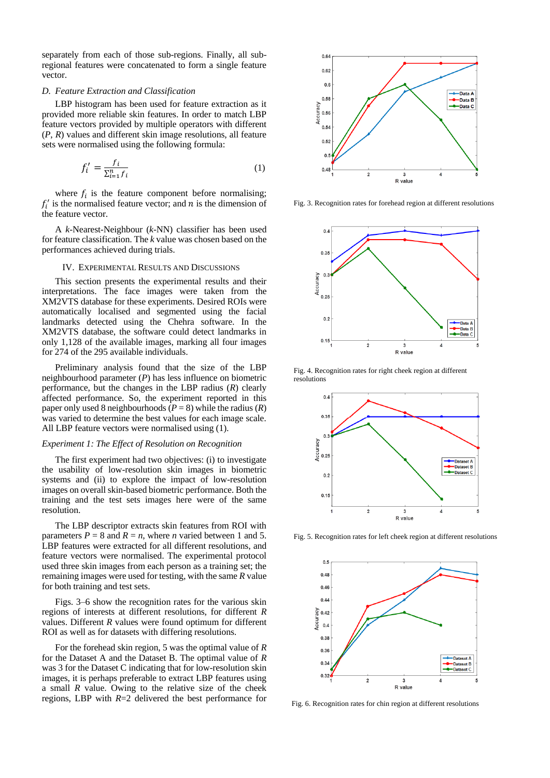separately from each of those sub-regions. Finally, all subregional features were concatenated to form a single feature vector.

#### *D. Feature Extraction and Classification*

LBP histogram has been used for feature extraction as it provided more reliable skin features. In order to match LBP feature vectors provided by multiple operators with different (*P*, *R*) values and different skin image resolutions, all feature sets were normalised using the following formula:

$$
f'_i = \frac{f_i}{\sum_{i=1}^n f_i} \tag{1}
$$

where  $f_i$  is the feature component before normalising;  $f_i'$  is the normalised feature vector; and  $n$  is the dimension of the feature vector.

A *k*-Nearest-Neighbour (*k*-NN) classifier has been used for feature classification. The *k* value was chosen based on the performances achieved during trials.

#### IV. EXPERIMENTAL RESULTS AND DISCUSSIONS

This section presents the experimental results and their interpretations. The face images were taken from the XM2VTS database for these experiments. Desired ROIs were automatically localised and segmented using the facial landmarks detected using the Chehra software. In the XM2VTS database, the software could detect landmarks in only 1,128 of the available images, marking all four images for 274 of the 295 available individuals.

Preliminary analysis found that the size of the LBP neighbourhood parameter (*P*) has less influence on biometric performance, but the changes in the LBP radius (*R*) clearly affected performance. So, the experiment reported in this paper only used 8 neighbourhoods  $(P = 8)$  while the radius  $(R)$ was varied to determine the best values for each image scale. All LBP feature vectors were normalised using (1).

#### *Experiment 1: The Effect of Resolution on Recognition*

The first experiment had two objectives: (i) to investigate the usability of low-resolution skin images in biometric systems and (ii) to explore the impact of low-resolution images on overall skin-based biometric performance. Both the training and the test sets images here were of the same resolution.

The LBP descriptor extracts skin features from ROI with parameters  $P = 8$  and  $R = n$ , where *n* varied between 1 and 5. LBP features were extracted for all different resolutions, and feature vectors were normalised. The experimental protocol used three skin images from each person as a training set; the remaining images were used for testing, with the same *R* value for both training and test sets.

Figs. 3–6 show the recognition rates for the various skin regions of interests at different resolutions, for different *R* values. Different *R* values were found optimum for different ROI as well as for datasets with differing resolutions.

For the forehead skin region, 5 was the optimal value of *R* for the Dataset A and the Dataset B. The optimal value of *R* was 3 for the Dataset C indicating that for low-resolution skin images, it is perhaps preferable to extract LBP features using a small *R* value. Owing to the relative size of the cheek regions, LBP with *R*=2 delivered the best performance for



Fig. 3. Recognition rates for forehead region at different resolutions



Fig. 4. Recognition rates for right cheek region at different resolutions



Fig. 5. Recognition rates for left cheek region at different resolutions



Fig. 6. Recognition rates for chin region at different resolutions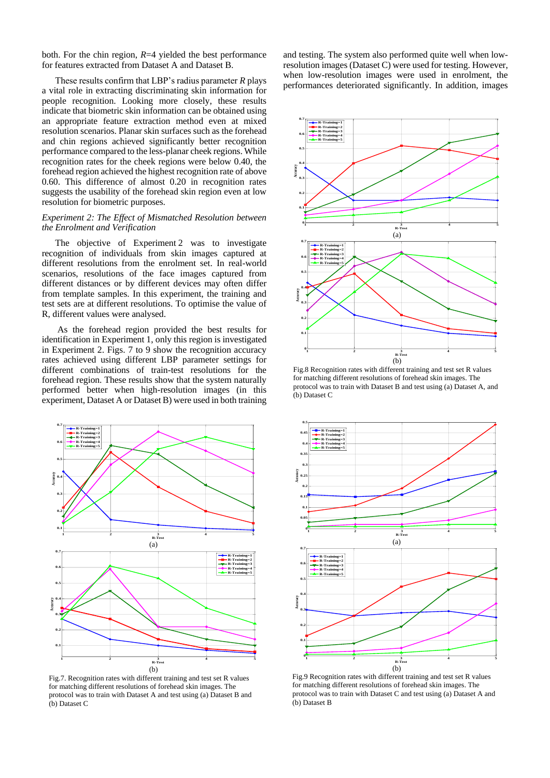both. For the chin region, *R*=4 yielded the best performance for features extracted from Dataset A and Dataset B.

These results confirm that LBP's radius parameter *R* plays a vital role in extracting discriminating skin information for people recognition. Looking more closely, these results indicate that biometric skin information can be obtained using an appropriate feature extraction method even at mixed resolution scenarios. Planar skin surfaces such as the forehead and chin regions achieved significantly better recognition performance compared to the less-planar cheek regions. While recognition rates for the cheek regions were below 0.40, the forehead region achieved the highest recognition rate of above 0.60. This difference of almost 0.20 in recognition rates suggests the usability of the forehead skin region even at low resolution for biometric purposes.

#### *Experiment 2: The Effect of Mismatched Resolution between the Enrolment and Verification*

The objective of Experiment 2 was to investigate recognition of individuals from skin images captured at different resolutions from the enrolment set. In real-world scenarios, resolutions of the face images captured from different distances or by different devices may often differ from template samples. In this experiment, the training and test sets are at different resolutions. To optimise the value of R, different values were analysed.

As the forehead region provided the best results for identification in Experiment 1, only this region is investigated in Experiment 2. Figs. 7 to 9 show the recognition accuracy rates achieved using different LBP parameter settings for different combinations of train-test resolutions for the forehead region. These results show that the system naturally performed better when high-resolution images (in this experiment, Dataset A or Dataset B) were used in both training



Fig.7. Recognition rates with different training and test set R values for matching different resolutions of forehead skin images. The protocol was to train with Dataset A and test using (a) Dataset B and (b) Dataset C

and testing. The system also performed quite well when lowresolution images (Dataset C) were used for testing. However, when low-resolution images were used in enrolment, the performances deteriorated significantly. In addition, images



Fig.8 Recognition rates with different training and test set R values for matching different resolutions of forehead skin images. The protocol was to train with Dataset B and test using (a) Dataset A, and (b) Dataset C



Fig.9 Recognition rates with different training and test set R values for matching different resolutions of forehead skin images. The protocol was to train with Dataset C and test using (a) Dataset A and (b) Dataset B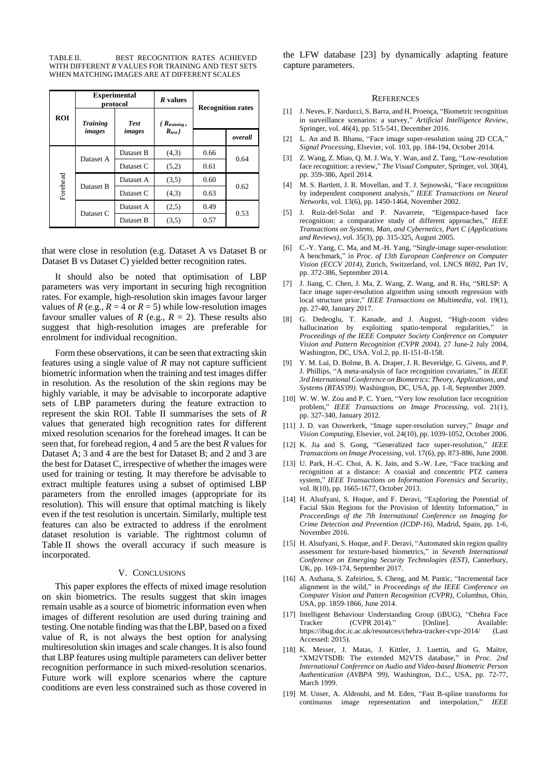TABLE II. BEST RECOGNITION RATES ACHIEVED WITH DIFFERENT *R* VALUES FOR TRAINING AND TEST SETS WHEN MATCHING IMAGES ARE AT DIFFERENT SCALES

| <b>ROI</b> | <b>Experimental</b><br>protocol |                       | R values                         | <b>Recognition rates</b> |         |
|------------|---------------------------------|-----------------------|----------------------------------|--------------------------|---------|
|            | <b>Training</b><br>images       | <b>Test</b><br>images | $(R_{training},$<br>$R_{test}$ ) |                          |         |
|            |                                 |                       |                                  |                          | overall |
| Forehead   | Dataset A                       | Dataset B             | (4,3)                            | 0.66                     | 0.64    |
|            |                                 | Dataset C             | (5,2)                            | 0.61                     |         |
|            | Dataset B                       | Dataset A             | (3,5)                            | 0.60                     | 0.62    |
|            |                                 | Dataset C             | (4,3)                            | 0.63                     |         |
|            | Dataset C                       | Dataset A             | (2,5)                            | 0.49                     | 0.53    |
|            |                                 | Dataset B             | (3,5)                            | 0.57                     |         |

that were close in resolution (e.g. Dataset A vs Dataset B or Dataset B vs Dataset C) yielded better recognition rates.

It should also be noted that optimisation of LBP parameters was very important in securing high recognition rates. For example, high-resolution skin images favour larger values of *R* (e.g.,  $R = 4$  or  $R = 5$ ) while low-resolution images favour smaller values of *R* (e.g.,  $R = 2$ ). These results also suggest that high-resolution images are preferable for enrolment for individual recognition.

Form these observations, it can be seen that extracting skin features using a single value of *R* may not capture sufficient biometric information when the training and test images differ in resolution. As the resolution of the skin regions may be highly variable, it may be advisable to incorporate adaptive sets of LBP parameters during the feature extraction to represent the skin ROI. Table II summarises the sets of *R* values that generated high recognition rates for different mixed resolution scenarios for the forehead images. It can be seen that, for forehead region, 4 and 5 are the best *R* values for Dataset A; 3 and 4 are the best for Dataset B; and 2 and 3 are the best for Dataset C, irrespective of whether the images were used for training or testing. It may therefore be advisable to extract multiple features using a subset of optimised LBP parameters from the enrolled images (appropriate for its resolution). This will ensure that optimal matching is likely even if the test resolution is uncertain. Similarly, multiple test features can also be extracted to address if the enrolment dataset resolution is variable. The rightmost column of Table II shows the overall accuracy if such measure is incorporated.

#### V. CONCLUSIONS

This paper explores the effects of mixed image resolution on skin biometrics. The results suggest that skin images remain usable as a source of biometric information even when images of different resolution are used during training and testing. One notable finding was that the LBP, based on a fixed value of R, is not always the best option for analysing multiresolution skin images and scale changes. It is also found that LBP features using multiple parameters can deliver better recognition performance in such mixed-resolution scenarios. Future work will explore scenarios where the capture conditions are even less constrained such as those covered in the LFW database [23] by dynamically adapting feature capture parameters.

#### **REFERENCES**

- [1] J. Neves, F. Narducci, S. Barra, and H. Proença, "Biometric recognition in surveillance scenarios: a survey," *Artificial Intelligence Review*, Springer, vol. 46(4), pp. 515-541, December 2016.
- [2] L. An and B. Bhanu, "Face image super-resolution using 2D CCA," *Signal Processing*, Elsevier, vol. 103, pp. 184-194, October 2014.
- [3] Z. Wang, Z. Miao, Q. M. J. Wu, Y. Wan, and Z. Tang, "Low-resolution face recognition: a review," *The Visual Computer*, Springer, vol. 30(4), pp. 359-386, April 2014.
- [4] M. S. Bartlett, J. R. Movellan, and T. J. Sejnowski, "Face recognition by independent component analysis," *IEEE Transactions on Neural Networks*, vol. 13(6), pp. 1450-1464, November 2002.
- [5] J. Ruiz-del-Solar and P. Navarrete, "Eigenspace-based face recognition: a comparative study of different approaches," *IEEE Transactions on Systems, Man, and Cybernetics, Part C (Applications and Reviews)*, vol. 35(3), pp. 315-325, August 2005.
- [6] C.-Y. Yang, C. Ma, and M.-H. Yang, "Single-image super-resolution: A benchmark," in *Proc. of 13th European Conference on Computer Vision (ECCV 2014)*, Zurich, Switzerland, vol. LNCS 8692, Part IV, pp. 372-386, September 2014.
- [7] J. Jiang, C. Chen, J. Ma, Z. Wang, Z. Wang, and R. Hu, "SRLSP: A face image super-resolution algorithm using smooth regression with local structure prior," *IEEE Transactions on Multimedia*, vol. 19(1), pp. 27-40, January 2017.
- [8] G. Dedeoglu, T. Kanade, and J. August, "High-zoom video hallucination by exploiting spatio-temporal regularities," in *Proceedings of the IEEE Computer Society Conference on Computer Vision and Pattern Recognition (CVPR 2004)*, 27 June-2 July 2004, Washington, DC, USA. Vol.2, pp. II-151-II-158.
- [9] Y. M. Lui, D. Bolme, B. A. Draper, J. R. Beveridge, G. Givens, and P. J. Phillips, "A meta-analysis of face recognition covariates," in *IEEE 3rd International Conference on Biometrics: Theory, Applications, and Systems (BTAS'09)*. Washington, DC, USA, pp. 1-8, September 2009.
- [10] W. W. W. Zou and P. C. Yuen, "Very low resolution face recognition problem," *IEEE Transactions on Image Processing*, vol. 21(1), pp. 327-340, January 2012.
- [11] J. D. van Ouwerkerk, "Image super-resolution survey," *Image and Vision Computing*, Elsevier, vol. 24(10), pp. 1039-1052, October 2006.
- [12] K. Jia and S. Gong, "Generalized face super-resolution," *IEEE Transactions on Image Processing*, vol. 17(6), pp. 873-886, June 2008.
- [13] U. Park, H.-C. Choi, A. K. Jain, and S.-W. Lee, "Face tracking and recognition at a distance: A coaxial and concentric PTZ camera system," *IEEE Transactions on Information Forensics and Security*, vol. 8(10), pp. 1665-1677, October 2013.
- [14] H. Alsufyani, S. Hoque, and F. Deravi, "Exploring the Potential of Facial Skin Regions for the Provision of Identity Information," in *Procceedings of the 7th International Conference on Imaging for Crime Detection and Prevention (ICDP-16)*, Madrid, Spain, pp. 1-6, November 2016.
- [15] H. Alsufyani, S. Hoque, and F. Deravi, "Automated skin region quality assessment for texture-based biometrics," in *Seventh International Conference on Emerging Security Technologies (EST)*, Canterbury, UK, pp. 169-174, September 2017.
- [16] A. Asthana, S. Zafeiriou, S. Cheng, and M. Pantic, "Incremental face alignment in the wild," in *Proceedings of the IEEE Conference on Computer Vision and Pattern Recognition (CVPR)*, Columbus, Ohio, USA, pp. 1859-1866, June 2014.
- [17] Intelligent Behaviour Understanding Group (iBUG), "Chehra Face  $(CVPR 2014)$ ." [Online]. Available: https://ibug.doc.ic.ac.uk/resources/chehra-tracker-cvpr-2014/ (Last Accessed: 2015).
- [18] K. Messer, J. Matas, J. Kittler, J. Luettin, and G. Maitre, "XM2VTSDB: The extended M2VTS database," in *Proc. 2nd International Conference on Audio and Video-based Biometric Person Authentication (AVBPA '99)*, Washington, D.C., USA, pp. 72-77, March 1999.
- [19] M. Unser, A. Aldroubi, and M. Eden, "Fast B-spline transforms for continuous image representation and interpolation," *IEEE*